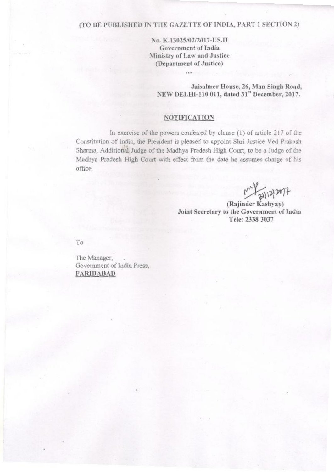# (TO BE PUBLISHED IN THE GAZETTE OF INDIA, PART 1 SECTION 2)

No. K.13025/02/2017-US.II **Government of India** Ministry of Law and Justice (Department of Justice)

Jaisalmer House, 26, Man Singh Road, NEW DELHI-110 011, dated 31st December, 2017.

## **NOTIFICATION**

In exercise of the powers conferred by clause (1) of article 217 of the Constitution of India, the President is pleased to appoint Shri Justice Ved Prakash Sharma, Additional Judge of the Madhya Pradesh High Court, to be a Judge of the Madhya Pradesh High Court with effect from the date he assumes charge of his office.

(Rajinder Kashyap) Joint Secretary to the Government of India Tele: 2338 3037

To

The Manager, Government of India Press. **FARIDABAD**